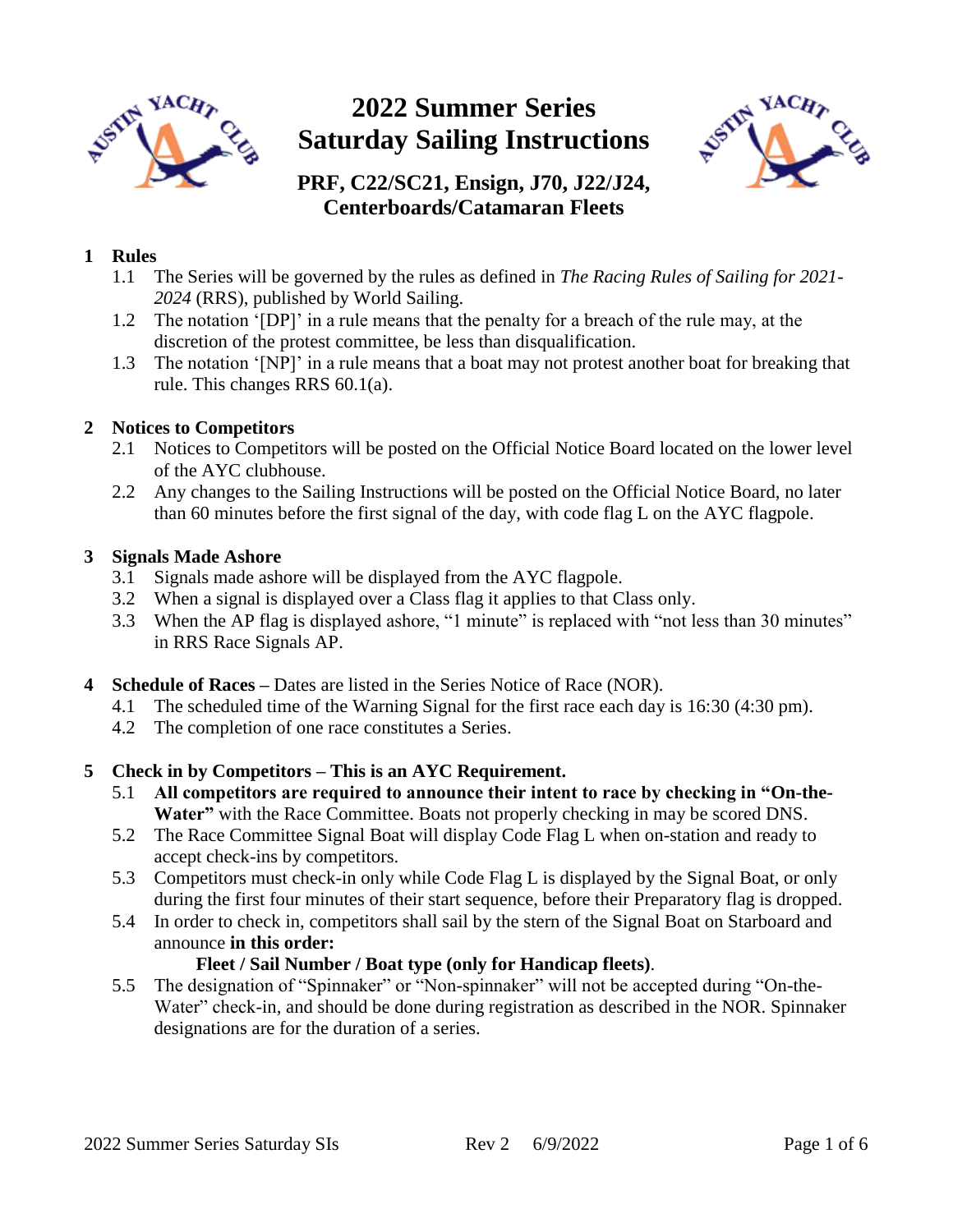

# **2022 Summer Series Saturday Sailing Instructions**



## **PRF, C22/SC21, Ensign, J70, J22/J24, Centerboards/Catamaran Fleets**

## **1 Rules**

- 1.1 The Series will be governed by the rules as defined in *The Racing Rules of Sailing for 2021- 2024* (RRS), published by World Sailing.
- 1.2 The notation '[DP]' in a rule means that the penalty for a breach of the rule may, at the discretion of the protest committee, be less than disqualification.
- 1.3 The notation '[NP]' in a rule means that a boat may not protest another boat for breaking that rule. This changes RRS 60.1(a).

#### **2 Notices to Competitors**

- 2.1 Notices to Competitors will be posted on the Official Notice Board located on the lower level of the AYC clubhouse.
- 2.2 Any changes to the Sailing Instructions will be posted on the Official Notice Board, no later than 60 minutes before the first signal of the day, with code flag L on the AYC flagpole.

#### **3 Signals Made Ashore**

- 3.1 Signals made ashore will be displayed from the AYC flagpole.
- 3.2 When a signal is displayed over a Class flag it applies to that Class only.
- 3.3 When the AP flag is displayed ashore, "1 minute" is replaced with "not less than 30 minutes" in RRS Race Signals AP.
- **4 Schedule of Races –** Dates are listed in the Series Notice of Race (NOR).
	- 4.1 The scheduled time of the Warning Signal for the first race each day is 16:30 (4:30 pm).
	- 4.2 The completion of one race constitutes a Series.

## **5 Check in by Competitors – This is an AYC Requirement.**

- 5.1 **All competitors are required to announce their intent to race by checking in "On-the-Water"** with the Race Committee. Boats not properly checking in may be scored DNS.
- 5.2 The Race Committee Signal Boat will display Code Flag L when on-station and ready to accept check-ins by competitors.
- 5.3 Competitors must check-in only while Code Flag L is displayed by the Signal Boat, or only during the first four minutes of their start sequence, before their Preparatory flag is dropped.
- 5.4 In order to check in, competitors shall sail by the stern of the Signal Boat on Starboard and announce **in this order:**

## **Fleet / Sail Number / Boat type (only for Handicap fleets)**.

5.5 The designation of "Spinnaker" or "Non-spinnaker" will not be accepted during "On-the-Water" check-in, and should be done during registration as described in the NOR. Spinnaker designations are for the duration of a series.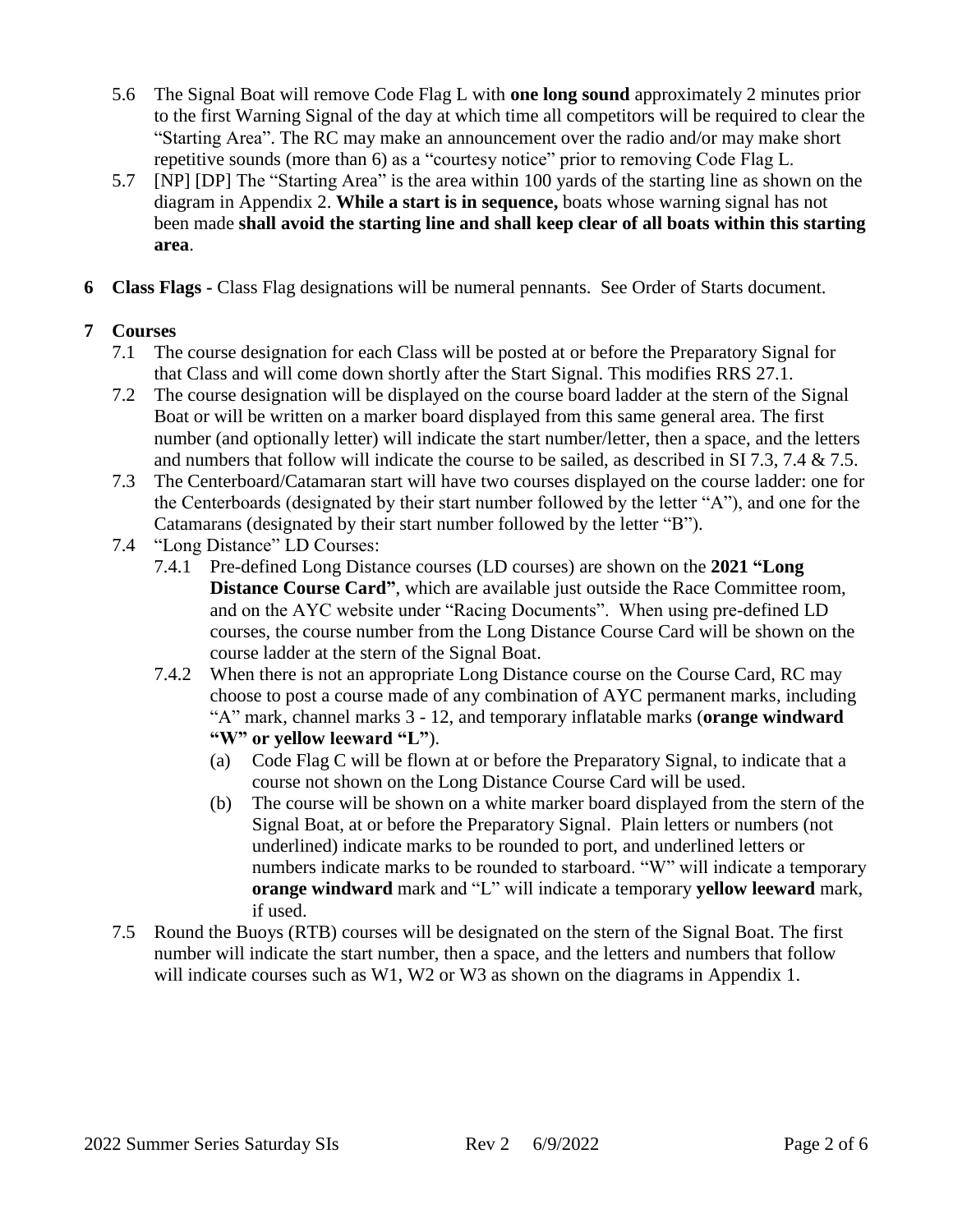- 5.6 The Signal Boat will remove Code Flag L with **one long sound** approximately 2 minutes prior to the first Warning Signal of the day at which time all competitors will be required to clear the "Starting Area". The RC may make an announcement over the radio and/or may make short repetitive sounds (more than 6) as a "courtesy notice" prior to removing Code Flag L.
- 5.7 [NP] [DP] The "Starting Area" is the area within 100 yards of the starting line as shown on the diagram in Appendix 2. **While a start is in sequence,** boats whose warning signal has not been made **shall avoid the starting line and shall keep clear of all boats within this starting area**.
- **6 Class Flags -** Class Flag designations will be numeral pennants. See Order of Starts document.

## **7 Courses**

- 7.1 The course designation for each Class will be posted at or before the Preparatory Signal for that Class and will come down shortly after the Start Signal. This modifies RRS 27.1.
- 7.2 The course designation will be displayed on the course board ladder at the stern of the Signal Boat or will be written on a marker board displayed from this same general area. The first number (and optionally letter) will indicate the start number/letter, then a space, and the letters and numbers that follow will indicate the course to be sailed, as described in SI 7.3, 7.4 & 7.5.
- 7.3 The Centerboard/Catamaran start will have two courses displayed on the course ladder: one for the Centerboards (designated by their start number followed by the letter "A"), and one for the Catamarans (designated by their start number followed by the letter "B").
- 7.4 "Long Distance" LD Courses:
	- 7.4.1 Pre-defined Long Distance courses (LD courses) are shown on the **2021 "Long Distance Course Card"**, which are available just outside the Race Committee room, and on the AYC website under "Racing Documents". When using pre-defined LD courses, the course number from the Long Distance Course Card will be shown on the course ladder at the stern of the Signal Boat.
	- 7.4.2 When there is not an appropriate Long Distance course on the Course Card, RC may choose to post a course made of any combination of AYC permanent marks, including "A" mark, channel marks 3 - 12, and temporary inflatable marks (**orange windward "W" or yellow leeward "L"**).
		- (a) Code Flag C will be flown at or before the Preparatory Signal, to indicate that a course not shown on the Long Distance Course Card will be used.
		- (b) The course will be shown on a white marker board displayed from the stern of the Signal Boat, at or before the Preparatory Signal. Plain letters or numbers (not underlined) indicate marks to be rounded to port, and underlined letters or numbers indicate marks to be rounded to starboard. "W" will indicate a temporary **orange windward** mark and "L" will indicate a temporary **yellow leeward** mark, if used.
- 7.5 Round the Buoys (RTB) courses will be designated on the stern of the Signal Boat. The first number will indicate the start number, then a space, and the letters and numbers that follow will indicate courses such as W1, W2 or W3 as shown on the diagrams in Appendix 1.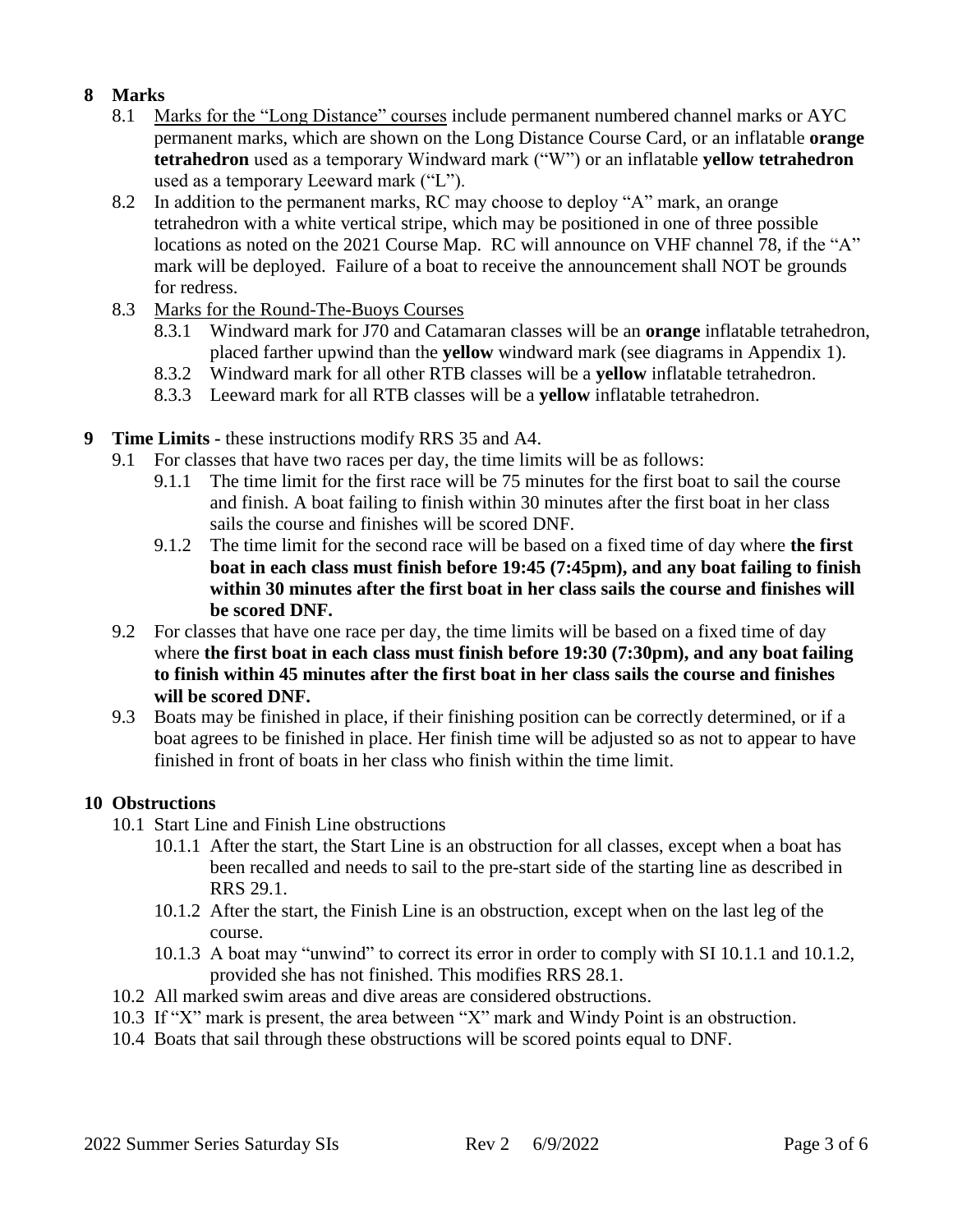## **8 Marks**

- 8.1 Marks for the "Long Distance" courses include permanent numbered channel marks or AYC permanent marks, which are shown on the Long Distance Course Card, or an inflatable **orange tetrahedron** used as a temporary Windward mark ("W") or an inflatable **yellow tetrahedron** used as a temporary Leeward mark ("L").
- 8.2 In addition to the permanent marks, RC may choose to deploy "A" mark, an orange tetrahedron with a white vertical stripe, which may be positioned in one of three possible locations as noted on the 2021 Course Map. RC will announce on VHF channel 78, if the "A" mark will be deployed. Failure of a boat to receive the announcement shall NOT be grounds for redress.
- 8.3 Marks for the Round-The-Buoys Courses
	- 8.3.1 Windward mark for J70 and Catamaran classes will be an **orange** inflatable tetrahedron, placed farther upwind than the **yellow** windward mark (see diagrams in Appendix 1).
	- 8.3.2 Windward mark for all other RTB classes will be a **yellow** inflatable tetrahedron.
	- 8.3.3 Leeward mark for all RTB classes will be a **yellow** inflatable tetrahedron.
- **9 Time Limits -** these instructions modify RRS 35 and A4.
	- 9.1 For classes that have two races per day, the time limits will be as follows:
		- 9.1.1 The time limit for the first race will be 75 minutes for the first boat to sail the course and finish. A boat failing to finish within 30 minutes after the first boat in her class sails the course and finishes will be scored DNF.
		- 9.1.2 The time limit for the second race will be based on a fixed time of day where **the first boat in each class must finish before 19:45 (7:45pm), and any boat failing to finish within 30 minutes after the first boat in her class sails the course and finishes will be scored DNF.**
	- 9.2 For classes that have one race per day, the time limits will be based on a fixed time of day where **the first boat in each class must finish before 19:30 (7:30pm), and any boat failing to finish within 45 minutes after the first boat in her class sails the course and finishes will be scored DNF.**
	- 9.3 Boats may be finished in place, if their finishing position can be correctly determined, or if a boat agrees to be finished in place. Her finish time will be adjusted so as not to appear to have finished in front of boats in her class who finish within the time limit.

## **10 Obstructions**

- 10.1 Start Line and Finish Line obstructions
	- 10.1.1 After the start, the Start Line is an obstruction for all classes, except when a boat has been recalled and needs to sail to the pre-start side of the starting line as described in RRS 29.1.
	- 10.1.2 After the start, the Finish Line is an obstruction, except when on the last leg of the course.
	- 10.1.3 A boat may "unwind" to correct its error in order to comply with SI 10.1.1 and 10.1.2, provided she has not finished. This modifies RRS 28.1.
- 10.2 All marked swim areas and dive areas are considered obstructions.
- 10.3 If "X" mark is present, the area between "X" mark and Windy Point is an obstruction.
- 10.4 Boats that sail through these obstructions will be scored points equal to DNF.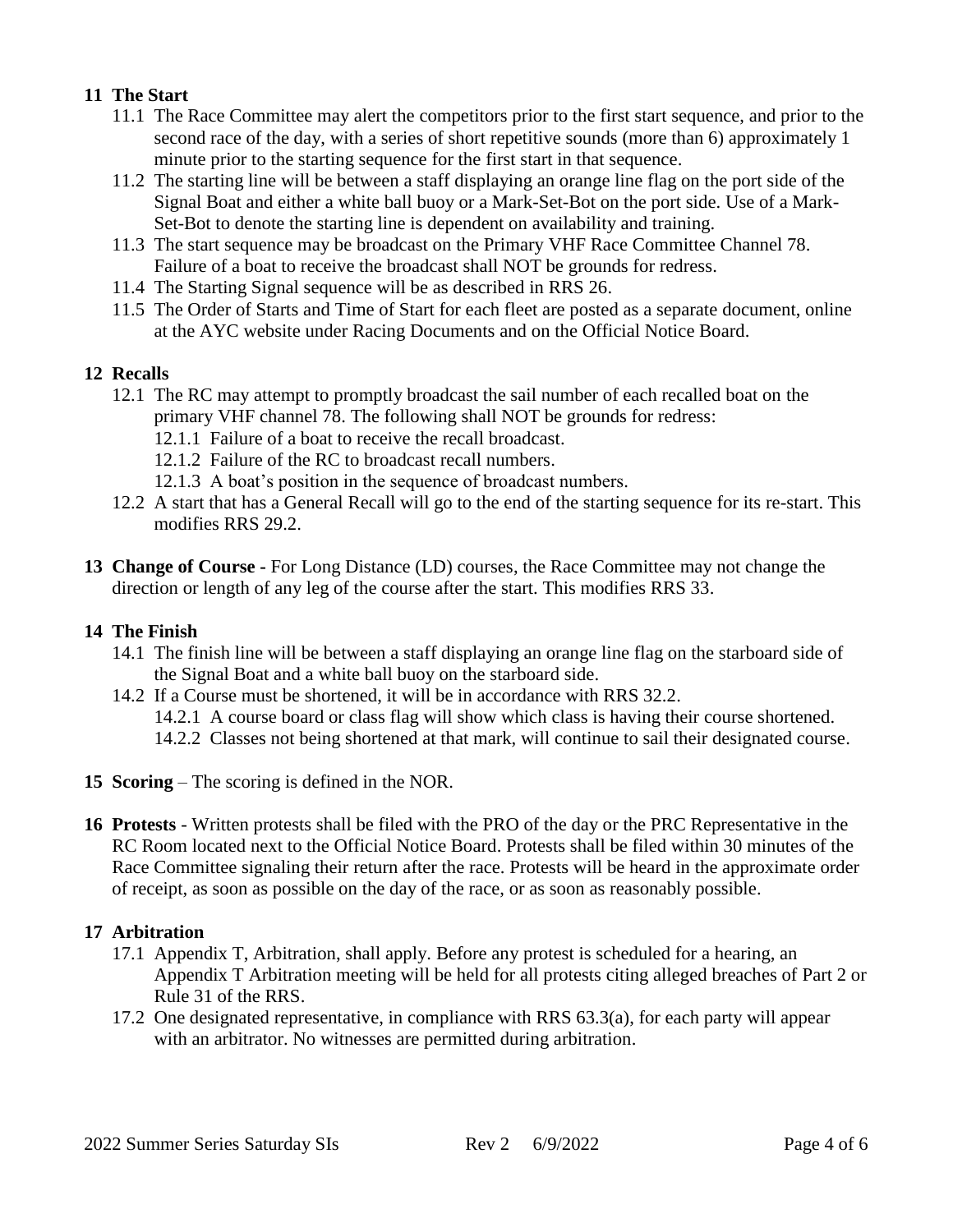## **11 The Start**

- 11.1 The Race Committee may alert the competitors prior to the first start sequence, and prior to the second race of the day, with a series of short repetitive sounds (more than 6) approximately 1 minute prior to the starting sequence for the first start in that sequence.
- 11.2 The starting line will be between a staff displaying an orange line flag on the port side of the Signal Boat and either a white ball buoy or a Mark-Set-Bot on the port side. Use of a Mark-Set-Bot to denote the starting line is dependent on availability and training.
- 11.3 The start sequence may be broadcast on the Primary VHF Race Committee Channel 78. Failure of a boat to receive the broadcast shall NOT be grounds for redress.
- 11.4 The Starting Signal sequence will be as described in RRS 26.
- 11.5 The Order of Starts and Time of Start for each fleet are posted as a separate document, online at the AYC website under Racing Documents and on the Official Notice Board.

## **12 Recalls**

- 12.1 The RC may attempt to promptly broadcast the sail number of each recalled boat on the primary VHF channel 78. The following shall NOT be grounds for redress:
	- 12.1.1 Failure of a boat to receive the recall broadcast.
	- 12.1.2 Failure of the RC to broadcast recall numbers.
	- 12.1.3 A boat's position in the sequence of broadcast numbers.
- 12.2 A start that has a General Recall will go to the end of the starting sequence for its re-start. This modifies RRS 29.2.
- **13 Change of Course -** For Long Distance (LD) courses, the Race Committee may not change the direction or length of any leg of the course after the start. This modifies RRS 33.

## **14 The Finish**

- 14.1 The finish line will be between a staff displaying an orange line flag on the starboard side of the Signal Boat and a white ball buoy on the starboard side.
- 14.2 If a Course must be shortened, it will be in accordance with RRS 32.2.
	- 14.2.1 A course board or class flag will show which class is having their course shortened.
	- 14.2.2 Classes not being shortened at that mark, will continue to sail their designated course.
- **15 Scoring** The scoring is defined in the NOR.
- **16 Protests** Written protests shall be filed with the PRO of the day or the PRC Representative in the RC Room located next to the Official Notice Board. Protests shall be filed within 30 minutes of the Race Committee signaling their return after the race. Protests will be heard in the approximate order of receipt, as soon as possible on the day of the race, or as soon as reasonably possible.

## **17 Arbitration**

- 17.1 Appendix T, Arbitration, shall apply. Before any protest is scheduled for a hearing, an Appendix T Arbitration meeting will be held for all protests citing alleged breaches of Part 2 or Rule 31 of the RRS.
- 17.2 One designated representative, in compliance with RRS 63.3(a), for each party will appear with an arbitrator. No witnesses are permitted during arbitration.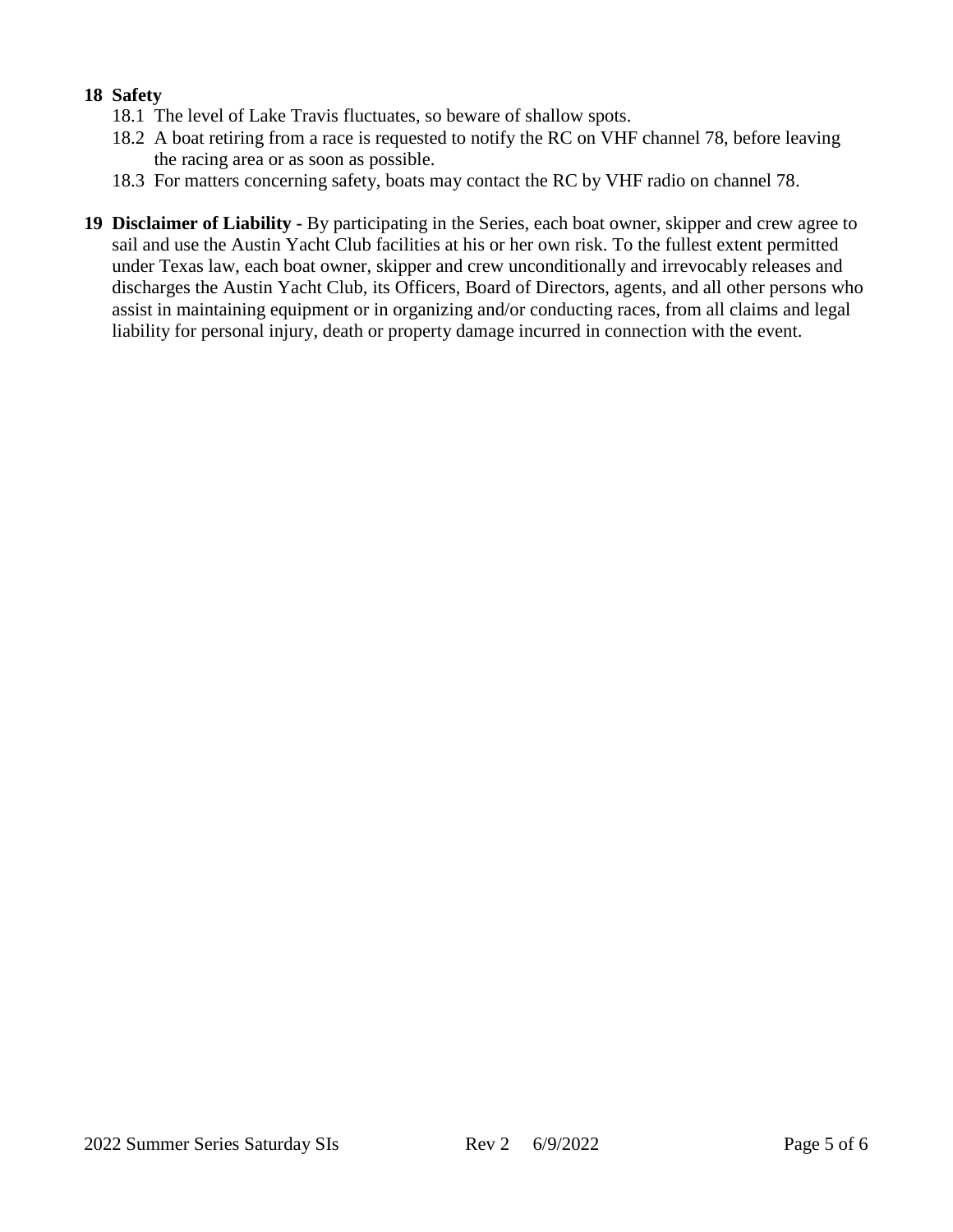## **18 Safety**

- 18.1 The level of Lake Travis fluctuates, so beware of shallow spots.
- 18.2 A boat retiring from a race is requested to notify the RC on VHF channel 78, before leaving the racing area or as soon as possible.
- 18.3 For matters concerning safety, boats may contact the RC by VHF radio on channel 78.
- **19 Disclaimer of Liability -** By participating in the Series, each boat owner, skipper and crew agree to sail and use the Austin Yacht Club facilities at his or her own risk. To the fullest extent permitted under Texas law, each boat owner, skipper and crew unconditionally and irrevocably releases and discharges the Austin Yacht Club, its Officers, Board of Directors, agents, and all other persons who assist in maintaining equipment or in organizing and/or conducting races, from all claims and legal liability for personal injury, death or property damage incurred in connection with the event.